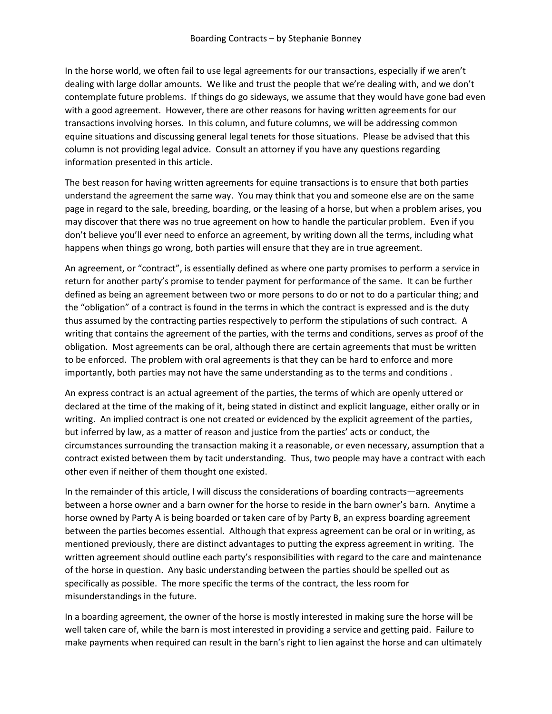In the horse world, we often fail to use legal agreements for our transactions, especially if we aren't dealing with large dollar amounts. We like and trust the people that we're dealing with, and we don't contemplate future problems. If things do go sideways, we assume that they would have gone bad even with a good agreement. However, there are other reasons for having written agreements for our transactions involving horses. In this column, and future columns, we will be addressing common equine situations and discussing general legal tenets for those situations. Please be advised that this column is not providing legal advice. Consult an attorney if you have any questions regarding information presented in this article.

The best reason for having written agreements for equine transactions is to ensure that both parties understand the agreement the same way. You may think that you and someone else are on the same page in regard to the sale, breeding, boarding, or the leasing of a horse, but when a problem arises, you may discover that there was no true agreement on how to handle the particular problem. Even if you don't believe you'll ever need to enforce an agreement, by writing down all the terms, including what happens when things go wrong, both parties will ensure that they are in true agreement.

An agreement, or "contract", is essentially defined as where one party promises to perform a service in return for another party's promise to tender payment for performance of the same. It can be further defined as being an agreement between two or more persons to do or not to do a particular thing; and the "obligation" of a contract is found in the terms in which the contract is expressed and is the duty thus assumed by the contracting parties respectively to perform the stipulations of such contract. A writing that contains the agreement of the parties, with the terms and conditions, serves as proof of the obligation. Most agreements can be oral, although there are certain agreements that must be written to be enforced. The problem with oral agreements is that they can be hard to enforce and more importantly, both parties may not have the same understanding as to the terms and conditions .

An express contract is an actual agreement of the parties, the terms of which are openly uttered or declared at the time of the making of it, being stated in distinct and explicit language, either orally or in writing. An implied contract is one not created or evidenced by the explicit agreement of the parties, but inferred by law, as a matter of reason and justice from the parties' acts or conduct, the circumstances surrounding the transaction making it a reasonable, or even necessary, assumption that a contract existed between them by tacit understanding. Thus, two people may have a contract with each other even if neither of them thought one existed.

In the remainder of this article, I will discuss the considerations of boarding contracts—agreements between a horse owner and a barn owner for the horse to reside in the barn owner's barn. Anytime a horse owned by Party A is being boarded or taken care of by Party B, an express boarding agreement between the parties becomes essential. Although that express agreement can be oral or in writing, as mentioned previously, there are distinct advantages to putting the express agreement in writing. The written agreement should outline each party's responsibilities with regard to the care and maintenance of the horse in question. Any basic understanding between the parties should be spelled out as specifically as possible. The more specific the terms of the contract, the less room for misunderstandings in the future.

In a boarding agreement, the owner of the horse is mostly interested in making sure the horse will be well taken care of, while the barn is most interested in providing a service and getting paid. Failure to make payments when required can result in the barn's right to lien against the horse and can ultimately